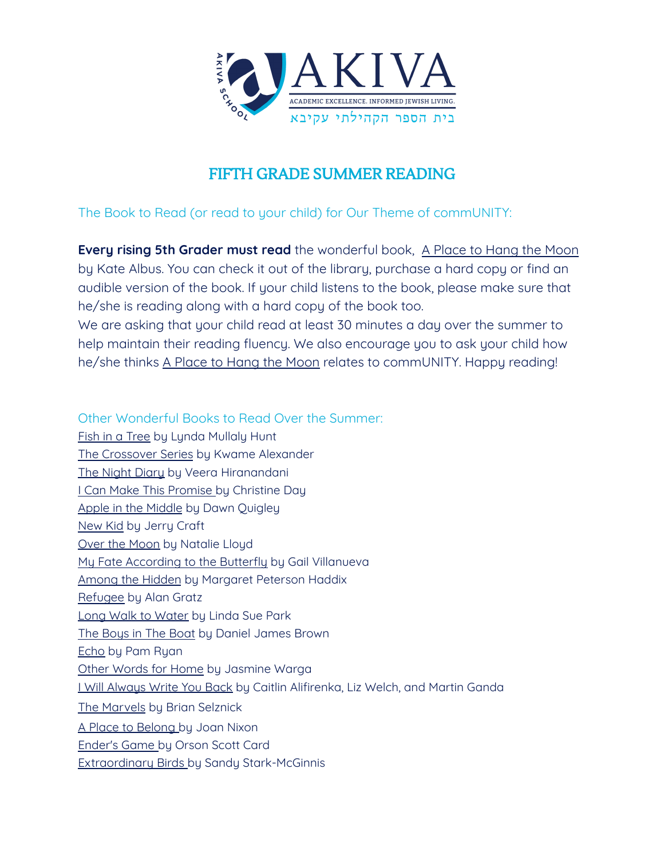

## FIFTH GRADE SUMMER READING

The Book to Read (or read to your child) for Our Theme of commUNITY:

**Every rising 5th Grader must read** the wonderful book, A Place to Hang the Moon by Kate Albus. You can check it out of the library, purchase a hard copy or find an audible version of the book. If your child listens to the book, please make sure that he/she is reading along with a hard copy of the book too.

We are asking that your child read at least 30 minutes a day over the summer to help maintain their reading fluency. We also encourage you to ask your child how he/she thinks A Place to Hang the Moon relates to commUNITY. Happy reading!

Other Wonderful Books to Read Over the Summer: Fish in a Tree by Lynda Mullaly Hunt The Crossover Series by Kwame Alexander The Night Diary by Veera Hiranandani I Can Make This Promise by Christine Day Apple in the Middle by Dawn Quigley New Kid by Jerry Craft Over the Moon by Natalie Lloyd My Fate According to the Butterfly by Gail Villanueva Among the Hidden by Margaret Peterson Haddix Refugee by Alan Gratz Long Walk to Water by Linda Sue Park The Boys in The Boat by Daniel James Brown Echo by Pam Ryan Other Words for Home by Jasmine Warga I Will Always Write You Back by Caitlin Alifirenka, Liz Welch, and Martin Ganda The Marvels by Brian Selznick A Place to Belong by Joan Nixon Ender's Game by Orson Scott Card Extraordinary Birds by Sandy Stark-McGinnis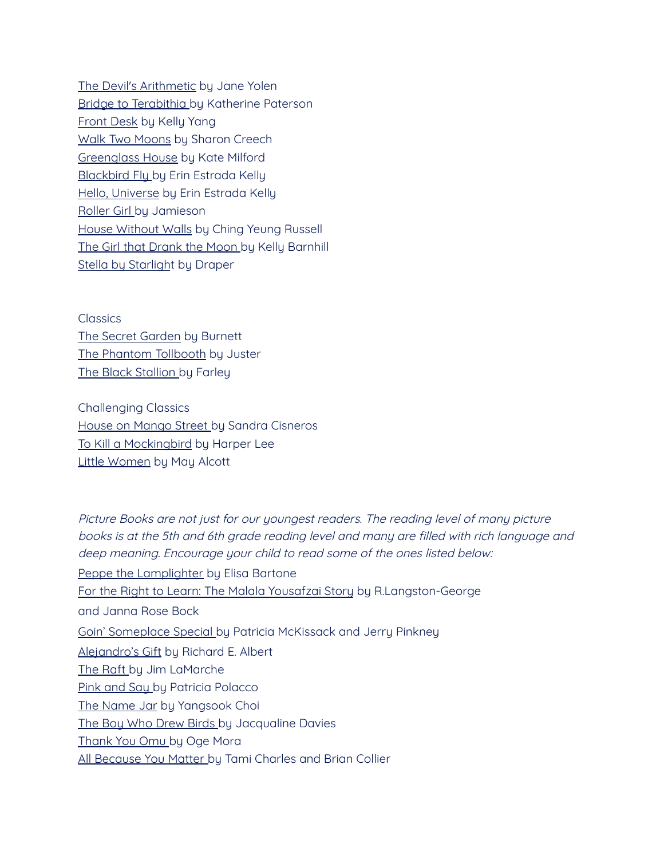The Devil's Arithmetic by Jane Yolen Bridge to Terabithia by Katherine Paterson Front Desk by Kelly Yang Walk Two Moons by Sharon Creech Greenglass House by Kate Milford **Blackbird Fly by Erin Estrada Kelly** Hello, Universe by Erin Estrada Kelly Roller Girl by Jamieson House Without Walls by Ching Yeung Russell The Girl that Drank the Moon by Kelly Barnhill Stella by Starlight by Draper

**Classics** The Secret Garden by Burnett The Phantom Tollbooth by Juster The Black Stallion by Farley

Challenging Classics House on Mango Street by Sandra Cisneros To Kill a Mockingbird by Harper Lee Little Women by May Alcott

Picture Books are not just for our youngest readers. The reading level of many picture books is at the 5th and 6th grade reading level and many are filled with rich language and deep meaning. Encourage your child to read some of the ones listed below: Peppe the Lamplighter by Elisa Bartone For the Right to Learn: The Malala Yousafzai Story by R.Langston-George and Janna Rose Bock Goin' Someplace Special by Patricia McKissack and Jerry Pinkney Alejandro's Gift by Richard E. Albert The Raft by Jim LaMarche Pink and Say by Patricia Polacco The Name Jar by Yangsook Choi The Boy Who Drew Birds by Jacqualine Davies Thank You Omu by Oge Mora All Because You Matter by Tami Charles and Brian Collier